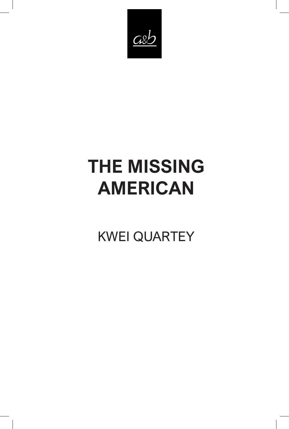

## **THE MISSING AMERICAN**

KWEI QUARTEY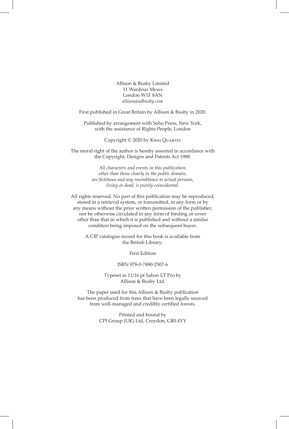Allison & Busby Limited 11 Wardour Mews London W1F 8AN *allisonandbusby.com*

First published in Great Britain by Allison & Busby in 2020.

Published by arrangement with Soho Press, New York, with the assistance of Rights People, London

Copyright © 2020 by Kwei Quartey

The moral right of the author is hereby asserted in accordance with the Copyright, Designs and Patents Act 1988.

> *All characters and events in this publication, other than those clearly in the public domain, are fictitious and any resemblance to actual persons, living or dead, is purely coincidental.*

All rights reserved. No part of this publication may be reproduced, stored in a retrieval system, or transmitted, in any form or by any means without the prior written permission of the publisher, nor be otherwise circulated in any form of binding or cover other than that in which it is published and without a similar condition being imposed on the subsequent buyer.

A CIP catalogue record for this book is available from the British Library.

First Edition

ISBN 978-0-7490-2507-6

Typeset in 11/16 pt Sabon LT Pro by Allison & Busby Ltd.

The paper used for this Allison & Busby publication has been produced from trees that have been legally sourced from well-managed and credibly certified forests.

> Printed and bound by CPI Group (UK) Ltd, Croydon, CR0 4YY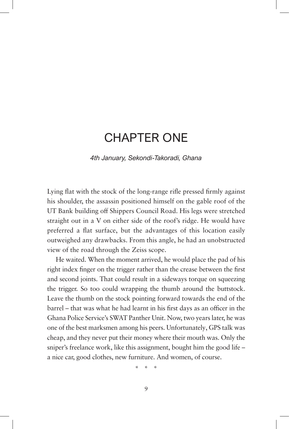## CHAPTER ONE

*4th January, Sekondi-Takoradi, Ghana*

Lying flat with the stock of the long-range rifle pressed firmly against his shoulder, the assassin positioned himself on the gable roof of the UT Bank building off Shippers Council Road. His legs were stretched straight out in a V on either side of the roof's ridge. He would have preferred a flat surface, but the advantages of this location easily outweighed any drawbacks. From this angle, he had an unobstructed view of the road through the Zeiss scope.

He waited. When the moment arrived, he would place the pad of his right index finger on the trigger rather than the crease between the first and second joints. That could result in a sideways torque on squeezing the trigger. So too could wrapping the thumb around the buttstock. Leave the thumb on the stock pointing forward towards the end of the barrel – that was what he had learnt in his first days as an officer in the Ghana Police Service's SWAT Panther Unit. Now, two years later, he was one of the best marksmen among his peers. Unfortunately, GPS talk was cheap, and they never put their money where their mouth was. Only the sniper's freelance work, like this assignment, bought him the good life – a nice car, good clothes, new furniture. And women, of course.

\* \* \*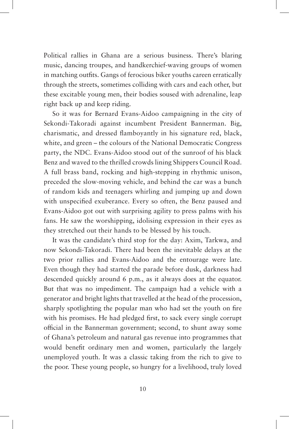Political rallies in Ghana are a serious business. There's blaring music, dancing troupes, and handkerchief-waving groups of women in matching outfits. Gangs of ferocious biker youths careen erratically through the streets, sometimes colliding with cars and each other, but these excitable young men, their bodies soused with adrenaline, leap right back up and keep riding.

So it was for Bernard Evans-Aidoo campaigning in the city of Sekondi-Takoradi against incumbent President Bannerman. Big, charismatic, and dressed flamboyantly in his signature red, black, white, and green – the colours of the National Democratic Congress party, the NDC. Evans-Aidoo stood out of the sunroof of his black Benz and waved to the thrilled crowds lining Shippers Council Road. A full brass band, rocking and high-stepping in rhythmic unison, preceded the slow-moving vehicle, and behind the car was a bunch of random kids and teenagers whirling and jumping up and down with unspecified exuberance. Every so often, the Benz paused and Evans-Aidoo got out with surprising agility to press palms with his fans. He saw the worshipping, idolising expression in their eyes as they stretched out their hands to be blessed by his touch.

It was the candidate's third stop for the day: Axim, Tarkwa, and now Sekondi-Takoradi. There had been the inevitable delays at the two prior rallies and Evans-Aidoo and the entourage were late. Even though they had started the parade before dusk, darkness had descended quickly around 6 p.m., as it always does at the equator. But that was no impediment. The campaign had a vehicle with a generator and bright lights that travelled at the head of the procession, sharply spotlighting the popular man who had set the youth on fire with his promises. He had pledged first, to sack every single corrupt official in the Bannerman government; second, to shunt away some of Ghana's petroleum and natural gas revenue into programmes that would benefit ordinary men and women, particularly the largely unemployed youth. It was a classic taking from the rich to give to the poor. These young people, so hungry for a livelihood, truly loved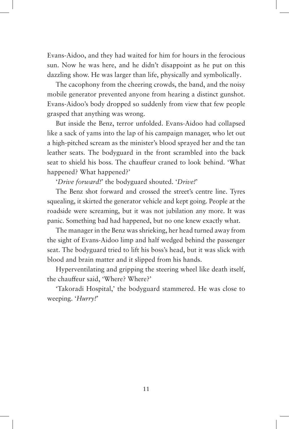Evans-Aidoo, and they had waited for him for hours in the ferocious sun. Now he was here, and he didn't disappoint as he put on this dazzling show. He was larger than life, physically and symbolically.

The cacophony from the cheering crowds, the band, and the noisy mobile generator prevented anyone from hearing a distinct gunshot. Evans-Aidoo's body dropped so suddenly from view that few people grasped that anything was wrong.

But inside the Benz, terror unfolded. Evans-Aidoo had collapsed like a sack of yams into the lap of his campaign manager, who let out a high-pitched scream as the minister's blood sprayed her and the tan leather seats. The bodyguard in the front scrambled into the back seat to shield his boss. The chauffeur craned to look behind. 'What happened? What happened?'

'*Drive forward!*' the bodyguard shouted. '*Drive!*'

The Benz shot forward and crossed the street's centre line. Tyres squealing, it skirted the generator vehicle and kept going. People at the roadside were screaming, but it was not jubilation any more. It was panic. Something bad had happened, but no one knew exactly what.

The manager in the Benz was shrieking, her head turned away from the sight of Evans-Aidoo limp and half wedged behind the passenger seat. The bodyguard tried to lift his boss's head, but it was slick with blood and brain matter and it slipped from his hands.

Hyperventilating and gripping the steering wheel like death itself, the chauffeur said, 'Where? Where?'

'Takoradi Hospital,' the bodyguard stammered. He was close to weeping. '*Hurry!*'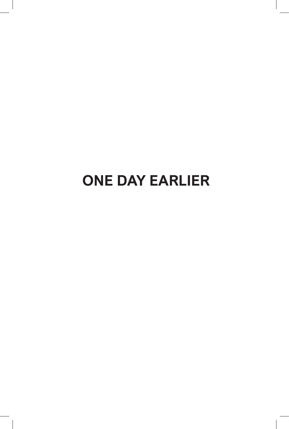## **ONE DAY EARLIER**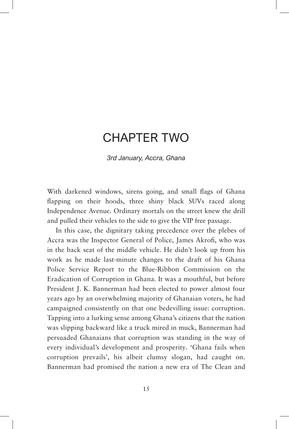## CHAPTER TWO

*3rd January, Accra, Ghana*

With darkened windows, sirens going, and small flags of Ghana flapping on their hoods, three shiny black SUVs raced along Independence Avenue. Ordinary mortals on the street knew the drill and pulled their vehicles to the side to give the VIP free passage.

In this case, the dignitary taking precedence over the plebes of Accra was the Inspector General of Police, James Akrofi, who was in the back seat of the middle vehicle. He didn't look up from his work as he made last-minute changes to the draft of his Ghana Police Service Report to the Blue-Ribbon Commission on the Eradication of Corruption in Ghana. It was a mouthful, but before President J. K. Bannerman had been elected to power almost four years ago by an overwhelming majority of Ghanaian voters, he had campaigned consistently on that one bedevilling issue: corruption. Tapping into a lurking sense among Ghana's citizens that the nation was slipping backward like a truck mired in muck, Bannerman had persuaded Ghanaians that corruption was standing in the way of every individual's development and prosperity. 'Ghana fails when corruption prevails', his albeit clumsy slogan, had caught on. Bannerman had promised the nation a new era of The Clean and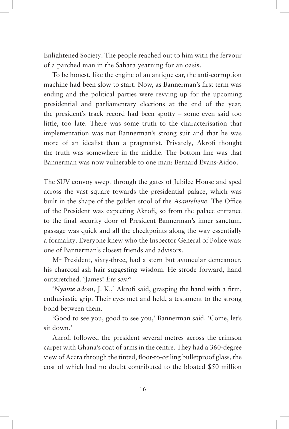Enlightened Society. The people reached out to him with the fervour of a parched man in the Sahara yearning for an oasis.

To be honest, like the engine of an antique car, the anti-corruption machine had been slow to start. Now, as Bannerman's first term was ending and the political parties were revving up for the upcoming presidential and parliamentary elections at the end of the year, the president's track record had been spotty – some even said too little, too late. There was some truth to the characterisation that implementation was not Bannerman's strong suit and that he was more of an idealist than a pragmatist. Privately, Akrofi thought the truth was somewhere in the middle. The bottom line was that Bannerman was now vulnerable to one man: Bernard Evans-Aidoo.

The SUV convoy swept through the gates of Jubilee House and sped across the vast square towards the presidential palace, which was built in the shape of the golden stool of the *Asantehene*. The Office of the President was expecting Akrofi, so from the palace entrance to the final security door of President Bannerman's inner sanctum, passage was quick and all the checkpoints along the way essentially a formality. Everyone knew who the Inspector General of Police was: one of Bannerman's closest friends and advisors.

Mr President, sixty-three, had a stern but avuncular demeanour, his charcoal-ash hair suggesting wisdom. He strode forward, hand outstretched. 'James! *Ete sen?*'

'*Nyame adom*, J. K.,' Akrofi said, grasping the hand with a firm, enthusiastic grip. Their eyes met and held, a testament to the strong bond between them.

'Good to see you, good to see you,' Bannerman said. 'Come, let's sit down.'

Akrofi followed the president several metres across the crimson carpet with Ghana's coat of arms in the centre. They had a 360-degree view of Accra through the tinted, floor-to-ceiling bulletproof glass, the cost of which had no doubt contributed to the bloated \$50 million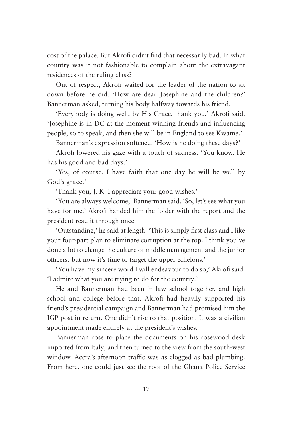cost of the palace. But Akrofi didn't find that necessarily bad. In what country was it not fashionable to complain about the extravagant residences of the ruling class?

Out of respect, Akrofi waited for the leader of the nation to sit down before he did. 'How are dear Josephine and the children?' Bannerman asked, turning his body halfway towards his friend.

'Everybody is doing well, by His Grace, thank you,' Akrofi said. 'Josephine is in DC at the moment winning friends and influencing people, so to speak, and then she will be in England to see Kwame.'

Bannerman's expression softened. 'How is he doing these days?'

Akrofi lowered his gaze with a touch of sadness. 'You know. He has his good and bad days.'

'Yes, of course. I have faith that one day he will be well by God's grace.'

'Thank you, J. K. I appreciate your good wishes.'

'You are always welcome,' Bannerman said. 'So, let's see what you have for me.' Akrofi handed him the folder with the report and the president read it through once.

'Outstanding,' he said at length. 'This is simply first class and I like your four-part plan to eliminate corruption at the top. I think you've done a lot to change the culture of middle management and the junior officers, but now it's time to target the upper echelons.'

'You have my sincere word I will endeavour to do so,' Akrofi said. 'I admire what you are trying to do for the country.'

He and Bannerman had been in law school together, and high school and college before that. Akrofi had heavily supported his friend's presidential campaign and Bannerman had promised him the IGP post in return. One didn't rise to that position. It was a civilian appointment made entirely at the president's wishes.

Bannerman rose to place the documents on his rosewood desk imported from Italy, and then turned to the view from the south-west window. Accra's afternoon traffic was as clogged as bad plumbing. From here, one could just see the roof of the Ghana Police Service